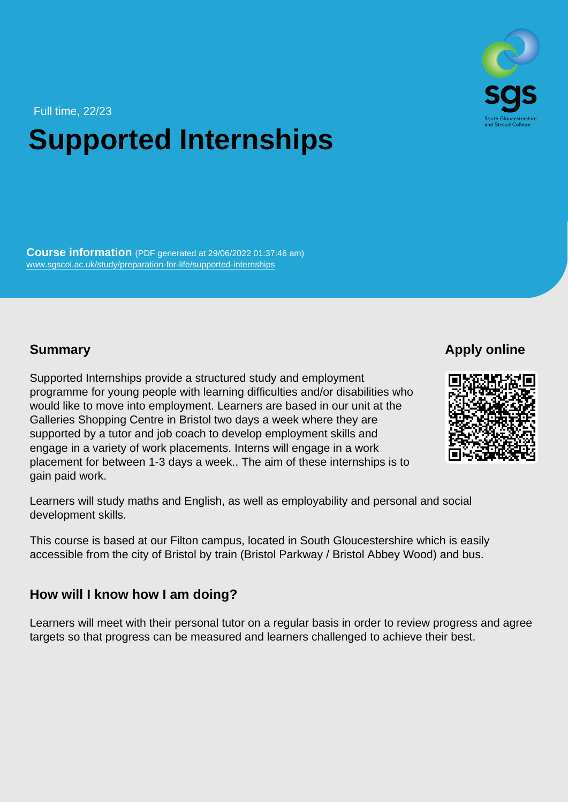Full time, 22/23

# Supported Internships

Course information (PDF generated at 29/06/2022 01:37:46 am) [www.sgscol.ac.uk/study/preparation-for-life/supported-internships](https://www.sgscol.ac.uk/study/preparation-for-life/supported-internships)

#### **Summary**

Apply online

Supported Internships provide a structured study and employment programme for young people with learning difficulties and/or disabilities who would like to move into employment. Learners are based in our unit at the Galleries Shopping Centre in Bristol two days a week where they are supported by a tutor and job coach to develop employment skills and engage in a variety of work placements. Interns will engage in a work placement for between 1-3 days a week.. The aim of these internships is to gain paid work.

Learners will study maths and English, as well as employability and personal and social development skills.

This course is based at our Filton campus, located in South Gloucestershire which is easily accessible from the city of Bristol by train (Bristol Parkway / Bristol Abbey Wood) and bus.

How will I know how I am doing?

Learners will meet with their personal tutor on a regular basis in order to review progress and agree targets so that progress can be measured and learners challenged to achieve their best.